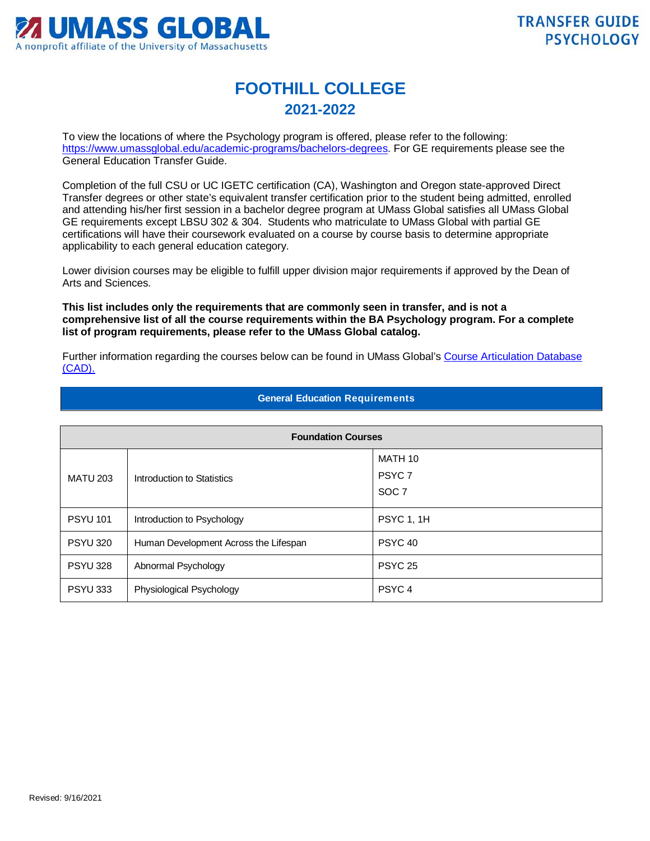

## **FOOTHILL COLLEGE 2021-2022**

To view the locations of where the Psychology program is offered, please refer to the following: [https://www.umassglobal.edu/academic-programs/bachelors-degrees.](https://www.umassglobal.edu/academic-programs/bachelors-degrees) For GE requirements please see the General Education Transfer Guide.

Completion of the full CSU or UC IGETC certification (CA), Washington and Oregon state-approved Direct Transfer degrees or other state's equivalent transfer certification prior to the student being admitted, enrolled and attending his/her first session in a bachelor degree program at UMass Global satisfies all UMass Global GE requirements except LBSU 302 & 304. Students who matriculate to UMass Global with partial GE certifications will have their coursework evaluated on a course by course basis to determine appropriate applicability to each general education category.

Lower division courses may be eligible to fulfill upper division major requirements if approved by the Dean of Arts and Sciences.

**This list includes only the requirements that are commonly seen in transfer, and is not a comprehensive list of all the course requirements within the BA Psychology program. For a complete list of program requirements, please refer to the UMass Global catalog.**

Further information regarding the courses below can be found in UMass Global's [Course Articulation Database](http://services.umassglobal.edu/studentservices/TransferCredit/)  [\(CAD\).](http://services.umassglobal.edu/studentservices/TransferCredit/) 

## **General Education Requirements**

| <b>Foundation Courses</b> |                                       |                    |
|---------------------------|---------------------------------------|--------------------|
|                           |                                       | MATH 10            |
| <b>MATU 203</b>           | Introduction to Statistics            | PSYC <sub>7</sub>  |
|                           |                                       | SOC <sub>7</sub>   |
| <b>PSYU 101</b>           | Introduction to Psychology            | <b>PSYC 1, 1H</b>  |
| <b>PSYU 320</b>           | Human Development Across the Lifespan | PSYC <sub>40</sub> |
| <b>PSYU 328</b>           | Abnormal Psychology                   | PSYC <sub>25</sub> |
| <b>PSYU 333</b>           | Physiological Psychology              | PSYC <sub>4</sub>  |